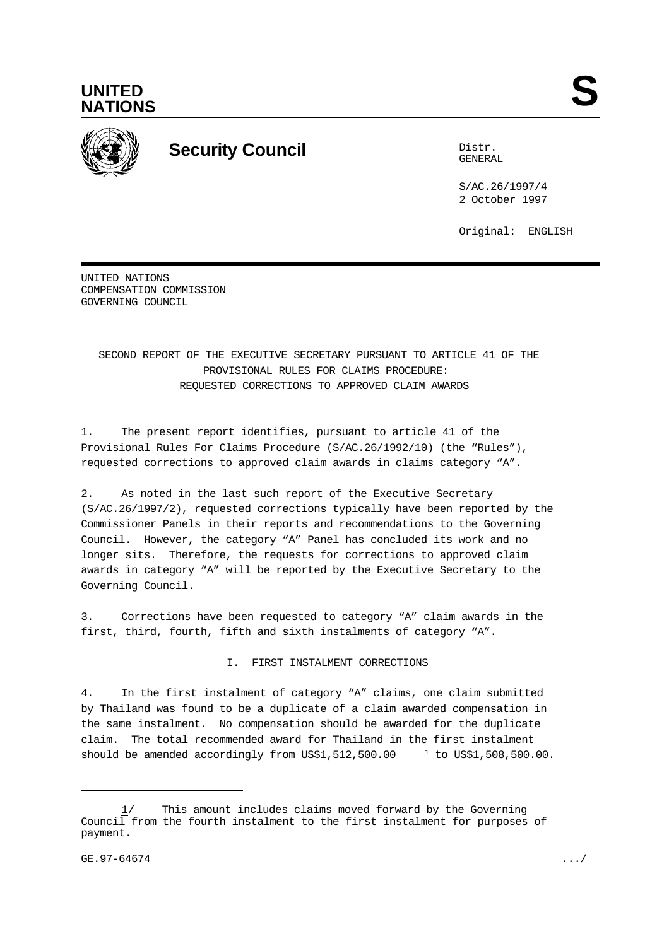



# **Security Council** Distribution of the Distribution of the Distribution of the Distribution of the Distribution of the Distribution of the Distribution of the Distribution of the Distribution of the Distribution of the Dis

GENERAL

S/AC.26/1997/4 2 October 1997

Original: ENGLISH

UNITED NATIONS COMPENSATION COMMISSION GOVERNING COUNCIL

# SECOND REPORT OF THE EXECUTIVE SECRETARY PURSUANT TO ARTICLE 41 OF THE PROVISIONAL RULES FOR CLAIMS PROCEDURE: REQUESTED CORRECTIONS TO APPROVED CLAIM AWARDS

1. The present report identifies, pursuant to article 41 of the Provisional Rules For Claims Procedure (S/AC.26/1992/10) (the "Rules"), requested corrections to approved claim awards in claims category "A".

2. As noted in the last such report of the Executive Secretary (S/AC.26/1997/2), requested corrections typically have been reported by the Commissioner Panels in their reports and recommendations to the Governing Council. However, the category "A" Panel has concluded its work and no longer sits. Therefore, the requests for corrections to approved claim awards in category "A" will be reported by the Executive Secretary to the Governing Council.

3. Corrections have been requested to category "A" claim awards in the first, third, fourth, fifth and sixth instalments of category "A".

I. FIRST INSTALMENT CORRECTIONS

4. In the first instalment of category "A" claims, one claim submitted by Thailand was found to be a duplicate of a claim awarded compensation in the same instalment. No compensation should be awarded for the duplicate claim. The total recommended award for Thailand in the first instalment should be amended accordingly from US\$1,512,500.00  $t$  to US\$1,508,500.00.

<sup>1/</sup> This amount includes claims moved forward by the Governing Council from the fourth instalment to the first instalment for purposes of payment.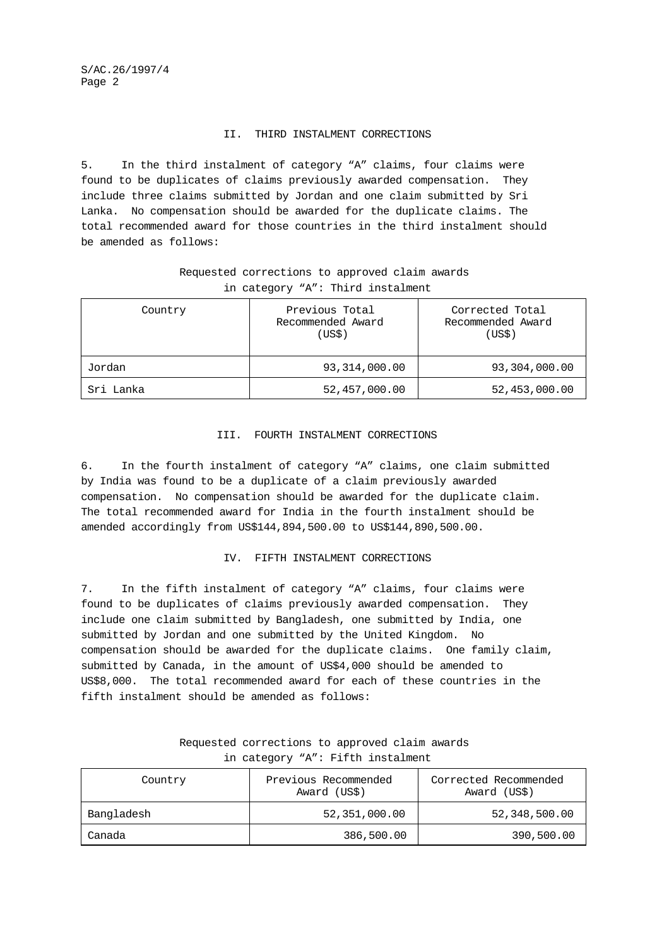S/AC.26/1997/4 Page 2

#### II. THIRD INSTALMENT CORRECTIONS

5. In the third instalment of category "A" claims, four claims were found to be duplicates of claims previously awarded compensation. They include three claims submitted by Jordan and one claim submitted by Sri Lanka. No compensation should be awarded for the duplicate claims. The total recommended award for those countries in the third instalment should be amended as follows:

# Requested corrections to approved claim awards in category "A": Third instalment

| Country   | Previous Total<br>Recommended Award<br>(US\$) | Corrected Total<br>Recommended Award<br>(USS) |
|-----------|-----------------------------------------------|-----------------------------------------------|
| Jordan    | 93, 314, 000.00                               | 93,304,000.00                                 |
| Sri Lanka | 52,457,000.00                                 | 52,453,000.00                                 |

#### III. FOURTH INSTALMENT CORRECTIONS

6. In the fourth instalment of category "A" claims, one claim submitted by India was found to be a duplicate of a claim previously awarded compensation. No compensation should be awarded for the duplicate claim. The total recommended award for India in the fourth instalment should be amended accordingly from US\$144,894,500.00 to US\$144,890,500.00.

#### IV. FIFTH INSTALMENT CORRECTIONS

7. In the fifth instalment of category "A" claims, four claims were found to be duplicates of claims previously awarded compensation. They include one claim submitted by Bangladesh, one submitted by India, one submitted by Jordan and one submitted by the United Kingdom. No compensation should be awarded for the duplicate claims. One family claim, submitted by Canada, in the amount of US\$4,000 should be amended to US\$8,000. The total recommended award for each of these countries in the fifth instalment should be amended as follows:

| Country    | Previous Recommended<br>Award (US\$) | Corrected Recommended<br>Award (US\$) |
|------------|--------------------------------------|---------------------------------------|
| Bangladesh | 52,351,000.00                        | 52,348,500.00                         |
| Canada     | 386,500.00                           | 390,500.00                            |

## Requested corrections to approved claim awards in category "A": Fifth instalment